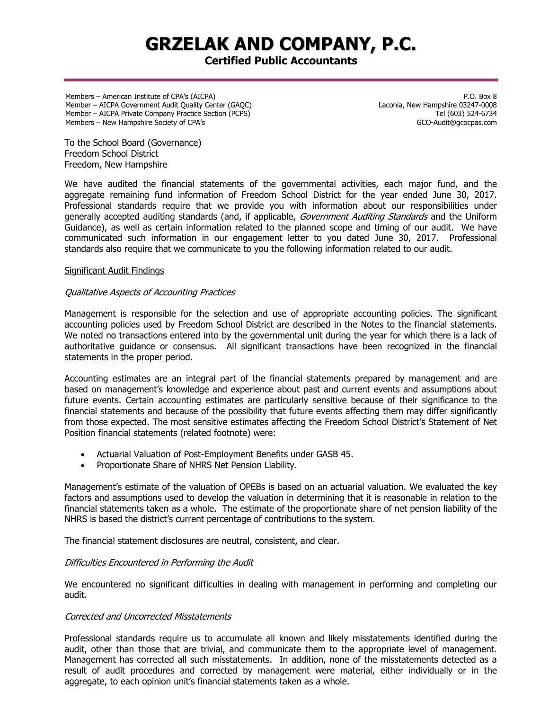# **GRZELAK AND COMPANY, P.C.**

# **Certified Public Accountants**

Members – American Institute of CPA's (AICPA) Member – AICPA Government Audit Quality Center (GAQC) Member – AICPA Private Company Practice Section (PCPS) Members – New Hampshire Society of CPA's

P.O. Box 8 Laconia, New Hampshire 03247-0008 Tel (603) 524-6734 GCO-Audit@gcocpas.com

To the School Board (Governance) Freedom School District Freedom, New Hampshire

We have audited the financial statements of the governmental activities, each major fund, and the aggregate remaining fund information of Freedom School District for the year ended June 30, 2017. Professional standards require that we provide you with information about our responsibilities under generally accepted auditing standards (and, if applicable, Government Auditing Standards and the Uniform Guidance), as well as certain information related to the planned scope and timing of our audit. We have communicated such information in our engagement letter to you dated June 30, 2017. Professional standards also require that we communicate to you the following information related to our audit.

#### Significant Audit Findings

### Qualitative Aspects of Accounting Practices

Management is responsible for the selection and use of appropriate accounting policies. The significant accounting policies used by Freedom School District are described in the Notes to the financial statements. We noted no transactions entered into by the governmental unit during the year for which there is a lack of authoritative guidance or consensus. All significant transactions have been recognized in the financial statements in the proper period.

Accounting estimates are an integral part of the financial statements prepared by management and are based on management's knowledge and experience about past and current events and assumptions about future events. Certain accounting estimates are particularly sensitive because of their significance to the financial statements and because of the possibility that future events affecting them may differ significantly from those expected. The most sensitive estimates affecting the Freedom School District's Statement of Net Position financial statements (related footnote) were:

- Actuarial Valuation of Post-Employment Benefits under GASB 45.
- Proportionate Share of NHRS Net Pension Liability.

Management's estimate of the valuation of OPEBs is based on an actuarial valuation. We evaluated the key factors and assumptions used to develop the valuation in determining that it is reasonable in relation to the financial statements taken as a whole. The estimate of the proportionate share of net pension liability of the NHRS is based the district's current percentage of contributions to the system.

The financial statement disclosures are neutral, consistent, and clear.

# Difficulties Encountered in Performing the Audit

We encountered no significant difficulties in dealing with management in performing and completing our audit.

# Corrected and Uncorrected Misstatements

Professional standards require us to accumulate all known and likely misstatements identified during the audit, other than those that are trivial, and communicate them to the appropriate level of management. Management has corrected all such misstatements. In addition, none of the misstatements detected as a result of audit procedures and corrected by management were material, either individually or in the aggregate, to each opinion unit's financial statements taken as a whole.